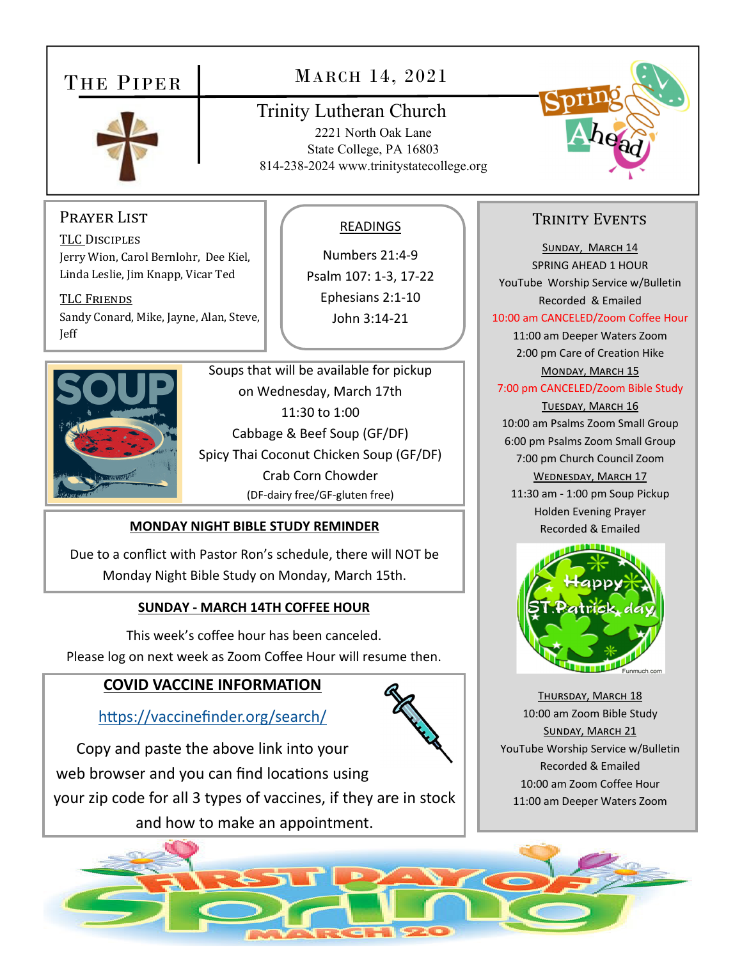## THE PIPER



## MARCH 14, 2021

## Trinity Lutheran Church

2221 North Oak Lane State College, PA 16803 814-238-2024 www.trinitystatecollege.org



TRINITY EVENTS

SUNDAY, MARCH 14 SPRING AHEAD 1 HOUR YouTube Worship Service w/Bulletin Recorded & Emailed 10:00 am CANCELED/Zoom Coffee Hour 11:00 am Deeper Waters Zoom

#### Prayer List

TLC DISCIPLES Jerry Wion, Carol Bernlohr, Dee Kiel, Linda Leslie, Jim Knapp, Vicar Ted

TLC FRIENDS Sandy Conard, Mike, Jayne, Alan, Steve, Jeff



Soups that will be available for pickup on Wednesday, March 17th 11:30 to 1:00 Cabbage & Beef Soup (GF/DF) Spicy Thai Coconut Chicken Soup (GF/DF) Crab Corn Chowder (DF‐dairy free/GF‐gluten free)

#### **MONDAY NIGHT BIBLE STUDY REMINDER**

Due to a conflict with Pastor Ron's schedule, there will NOT be Monday Night Bible Study on Monday, March 15th.

#### **SUNDAY ‐ MARCH 14TH COFFEE HOUR**

This week's coffee hour has been canceled. Please log on next week as Zoom Coffee Hour will resume then.

### **COVID VACCINE INFORMATION**

https://vaccinefinder.org/search/

Copy and paste the above link into your web browser and you can find locations using your zip code for all 3 types of vaccines, if they are in stock and how to make an appointment.

#### READINGS

Numbers 21:4‐9 Psalm 107: 1‐3, 17‐22 Ephesians 2:1‐10 John 3:14‐21





Recorded & Emailed

THURSDAY, MARCH 18 10:00 am Zoom Bible Study SUNDAY, MARCH 21 YouTube Worship Service w/Bulletin Recorded & Emailed 10:00 am Zoom Coffee Hour 11:00 am Deeper Waters Zoom